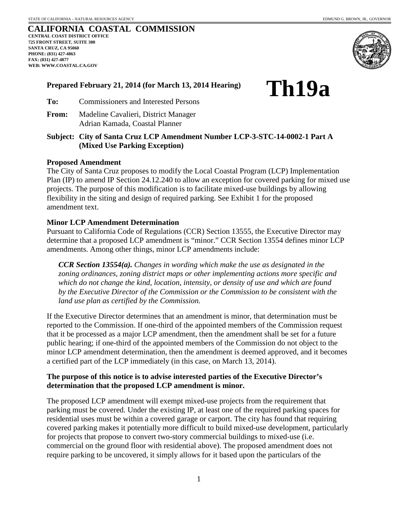**Th19a**

#### **CALIFORNIA COASTAL COMMISSION CENTRAL COAST DISTRICT OFFICE 725 FRONT STREET, SUITE 300 SANTA CRUZ, CA 95060 PHONE: (831) 427-4863 FAX: (831) 427-4877 WEB: WWW.COASTAL.CA.GOV**



## **Prepared February 21, 2014 (for March 13, 2014 Hearing)**

- **To:** Commissioners and Interested Persons
- **From:** Madeline Cavalieri, District Manager Adrian Kamada, Coastal Planner

### **Subject: City of Santa Cruz LCP Amendment Number LCP-3-STC-14-0002-1 Part A (Mixed Use Parking Exception)**

### **Proposed Amendment**

The City of Santa Cruz proposes to modify the Local Coastal Program (LCP) Implementation Plan (IP) to amend IP Section 24.12.240 to allow an exception for covered parking for mixed use projects. The purpose of this modification is to facilitate mixed-use buildings by allowing flexibility in the siting and design of required parking. See Exhibit 1 for the proposed amendment text.

### **Minor LCP Amendment Determination**

Pursuant to California Code of Regulations (CCR) Section 13555, the Executive Director may determine that a proposed LCP amendment is "minor." CCR Section 13554 defines minor LCP amendments. Among other things, minor LCP amendments include:

*CCR Section 13554(a). Changes in wording which make the use as designated in the zoning ordinances, zoning district maps or other implementing actions more specific and which do not change the kind, location, intensity, or density of use and which are found by the Executive Director of the Commission or the Commission to be consistent with the land use plan as certified by the Commission.*

If the Executive Director determines that an amendment is minor, that determination must be reported to the Commission. If one-third of the appointed members of the Commission request that it be processed as a major LCP amendment, then the amendment shall be set for a future public hearing; if one-third of the appointed members of the Commission do not object to the minor LCP amendment determination, then the amendment is deemed approved, and it becomes a certified part of the LCP immediately (in this case, on March 13, 2014).

### **The purpose of this notice is to advise interested parties of the Executive Director's determination that the proposed LCP amendment is minor.**

The proposed LCP amendment will exempt mixed-use projects from the requirement that parking must be covered. Under the existing IP, at least one of the required parking spaces for residential uses must be within a covered garage or carport. The city has found that requiring covered parking makes it potentially more difficult to build mixed-use development, particularly for projects that propose to convert two-story commercial buildings to mixed-use (i.e. commercial on the ground floor with residential above). The proposed amendment does not require parking to be uncovered, it simply allows for it based upon the particulars of the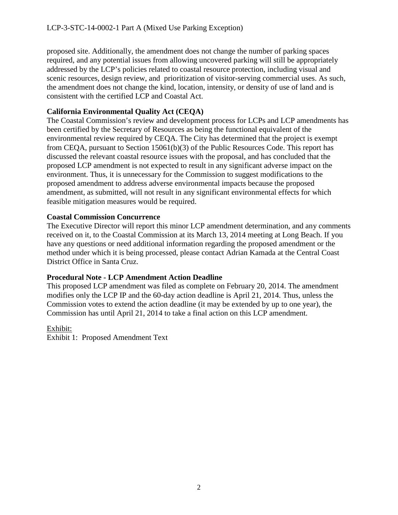proposed site. Additionally, the amendment does not change the number of parking spaces required, and any potential issues from allowing uncovered parking will still be appropriately addressed by the LCP's policies related to coastal resource protection, including visual and scenic resources, design review, and prioritization of visitor-serving commercial uses. As such, the amendment does not change the kind, location, intensity, or density of use of land and is consistent with the certified LCP and Coastal Act.

## **California Environmental Quality Act (CEQA)**

The Coastal Commission's review and development process for LCPs and LCP amendments has been certified by the Secretary of Resources as being the functional equivalent of the environmental review required by CEQA. The City has determined that the project is exempt from CEQA, pursuant to Section 15061(b)(3) of the Public Resources Code. This report has discussed the relevant coastal resource issues with the proposal, and has concluded that the proposed LCP amendment is not expected to result in any significant adverse impact on the environment. Thus, it is unnecessary for the Commission to suggest modifications to the proposed amendment to address adverse environmental impacts because the proposed amendment, as submitted, will not result in any significant environmental effects for which feasible mitigation measures would be required.

## **Coastal Commission Concurrence**

The Executive Director will report this minor LCP amendment determination, and any comments received on it, to the Coastal Commission at its March 13, 2014 meeting at Long Beach. If you have any questions or need additional information regarding the proposed amendment or the method under which it is being processed, please contact Adrian Kamada at the Central Coast District Office in Santa Cruz.

## **Procedural Note - LCP Amendment Action Deadline**

This proposed LCP amendment was filed as complete on February 20, 2014. The amendment modifies only the LCP IP and the 60-day action deadline is April 21, 2014. Thus, unless the Commission votes to extend the action deadline (it may be extended by up to one year), the Commission has until April 21, 2014 to take a final action on this LCP amendment.

## Exhibit:

Exhibit 1: Proposed Amendment Text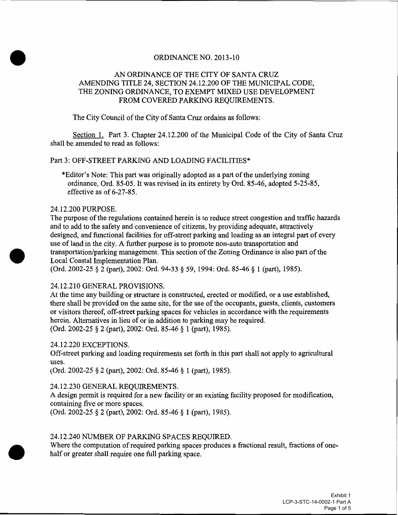### AN ORDINANCE OF THE CITY OF SANTA CRUZ AMENDING TITLE 24, SECTION 24.12.200 OF THE MUNICIPAL CODE, THE ZONING ORDINANCE, TO EXEMPT MIXED USE DEVELOPMENT FROM COVERED PARKING REQUIREMENTS.

The City Council of the City of Santa Cruz ordains as follows:

Section 1. Part 3. Chapter 24.12.200 of the Municipal Code of the City of Santa Cruz shall be amended to read as follows:

#### Part 3: OFF-STREET PARKING AND LOADING FACILITIES\*

\*Editor's Note: This part was originally adopted as a part of the underlying zoning ordinance, Ord. 85-05. It was revised in its entirety by Ord. 85-46, adopted 5-25-85, effective as of 6-27-85.

#### 24.12.200 PURPOSE.

The purpose of the regulations contained herein is to reduce street congestion and traffic hazards and to add to the safety and convenience of citizens, by providing adequate, attractively designed, and functional facilities for off-street parking and loading as an integral part of every use of land in the city. A further purpose is to promote non-auto transportation and transportation/parking management. This section of the Zoning Ordinance is also part of the Local Coastal Implementation Plan.

(Ord. 2002-25 § 2 (part), 2002: Ord. 94-33 § 59, 1994: Ord. 85-46 § 1 (part), 1985).

#### 24.12.210 GENERAL PROVISIONS.

At the time any building or structure is constructed, erected or modified, or a use established, there shall be provided on the same site, for the use of the occupants, guests, clients, customers or visitors thereof, off-street parking spaces for vehicles in accordance with the requirements herein. Alternatives in lieu of or in addition to parking may be required. (Ord. 2002-25 § 2 (part), 2002: Ord. 85-46 § 1 (part), 1985).

#### 24.12.220 EXCEPTIONS.

Off-street parking and loading requirements set forth in this part shall not apply to agricultural uses.

(Ord. 2002-25 § 2 (part), 2002: Ord. 85-46 § 1 (part), 1985).

#### 24.12.230 GENERAL REQUIREMENTS.

A design permit is required for a new facility or an existing facility proposed for modification, containing five or more spaces.

(Ord. 2002-25 § 2 (part), 2002: Ord. 85-46 § 1 (part), 1985).

#### 24.12.240 NUMBER OF PARKING SPACES REQUIRED.

Where the computation of required parking spaces produces a fractional result, fractions of onehalf or greater shall require one full parking space.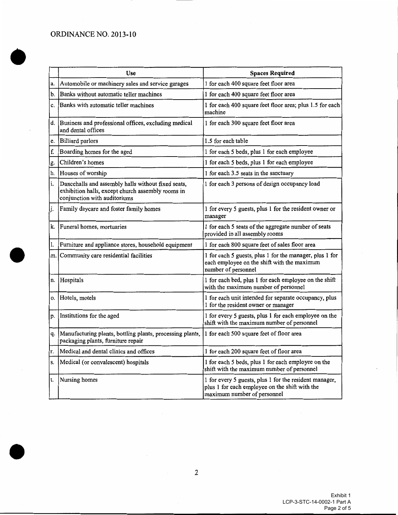|     | Use                                                                                                                                     | <b>Spaces Required</b>                                                                                                                  |
|-----|-----------------------------------------------------------------------------------------------------------------------------------------|-----------------------------------------------------------------------------------------------------------------------------------------|
| a.  | Automobile or machinery sales and service garages                                                                                       | 1 for each 400 square feet floor area                                                                                                   |
| b.  | Banks without automatic teller machines                                                                                                 | 1 for each 400 square feet floor area                                                                                                   |
| C.  | Banks with automatic teller machines                                                                                                    | 1 for each 400 square feet floor area; plus 1.5 for each<br>machine                                                                     |
| d.  | Business and professional offices, excluding medical<br>and dental offices                                                              | 1 for each 300 square feet floor area                                                                                                   |
| e.  | Billiard parlors                                                                                                                        | 1.5 for each table                                                                                                                      |
| f.  | Boarding homes for the aged                                                                                                             | 1 for each 5 beds, plus 1 for each employee                                                                                             |
| g.  | Children's homes                                                                                                                        | 1 for each 5 beds, plus 1 for each employee                                                                                             |
| h.  | Houses of worship                                                                                                                       | 1 for each 3.5 seats in the sanctuary                                                                                                   |
| i.  | Dancehalls and assembly halls without fixed seats,<br>exhibition halls, except church assembly rooms in<br>conjunction with auditoriums | 1 for each 3 persons of design occupancy load                                                                                           |
| J٠. | Family daycare and foster family homes                                                                                                  | 1 for every 5 guests, plus 1 for the resident owner or<br>manager                                                                       |
| k.  | Funeral homes, mortuaries                                                                                                               | 1 for each 5 seats of the aggregate number of seats<br>provided in all assembly rooms                                                   |
| 1.  | Furniture and appliance stores, household equipment                                                                                     | 1 for each 800 square feet of sales floor area                                                                                          |
|     | m. Community care residential facilities                                                                                                | 1 for each 5 guests, plus 1 for the manager, plus 1 for<br>each employee on the shift with the maximum<br>number of personnel           |
| n.  | Hospitals                                                                                                                               | 1 for each bed, plus 1 for each employee on the shift<br>with the maximum number of personnel                                           |
| 0.  | Hotels, motels                                                                                                                          | 1 for each unit intended for separate occupancy, plus<br>1 for the resident owner or manager                                            |
| p.  | Institutions for the aged                                                                                                               | 1 for every 5 guests, plus 1 for each employee on the<br>shift with the maximum number of personnel                                     |
| q.  | Manufacturing plants, bottling plants, processing plants,<br>packaging plants, furniture repair                                         | 1 for each 500 square feet of floor area                                                                                                |
| r.  | Medical and dental clinics and offices                                                                                                  | 1 for each 200 square feet of floor area                                                                                                |
| S.  | Medical (or convalescent) hospitals                                                                                                     | 1 for each 5 beds, plus 1 for each employee on the<br>shift with the maximum number of personnel                                        |
| t.  | Nursing homes                                                                                                                           | 1 for every 5 guests, plus 1 for the resident manager,<br>plus 1 for each employee on the shift with the<br>maximum number of personnel |

Exhibit 1 LCP-3-STC-14-0002-1 Part A Page 2 of 5

 $\overline{2}$ 

 $\mathcal{A}$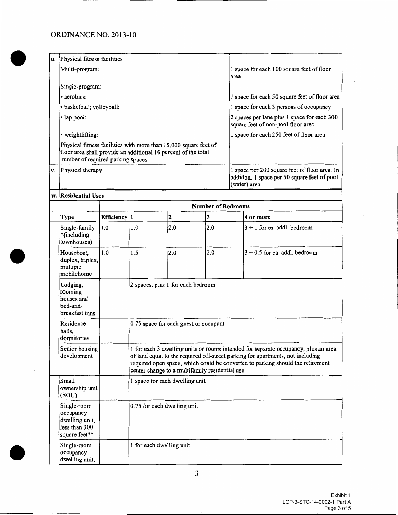| u.                                                                                                                                                                                                                                                                                                                                        | Physical fitness facilities                                                                                                                                             |              |                                                               |     |                                                                                   |                                               |                                                                                                               |
|-------------------------------------------------------------------------------------------------------------------------------------------------------------------------------------------------------------------------------------------------------------------------------------------------------------------------------------------|-------------------------------------------------------------------------------------------------------------------------------------------------------------------------|--------------|---------------------------------------------------------------|-----|-----------------------------------------------------------------------------------|-----------------------------------------------|---------------------------------------------------------------------------------------------------------------|
|                                                                                                                                                                                                                                                                                                                                           | Multi-program:                                                                                                                                                          |              |                                                               |     | area                                                                              | 1 space for each 100 square feet of floor     |                                                                                                               |
|                                                                                                                                                                                                                                                                                                                                           | Single-program:                                                                                                                                                         |              |                                                               |     |                                                                                   |                                               |                                                                                                               |
|                                                                                                                                                                                                                                                                                                                                           | · aerobics:                                                                                                                                                             |              |                                                               |     |                                                                                   | 1 space for each 50 square feet of floor area |                                                                                                               |
|                                                                                                                                                                                                                                                                                                                                           | · basketball; volleyball:                                                                                                                                               |              |                                                               |     |                                                                                   |                                               | 1 space for each 3 persons of occupancy                                                                       |
|                                                                                                                                                                                                                                                                                                                                           | · lap pool:<br>· weightlifting:                                                                                                                                         |              |                                                               |     | 2 spaces per lane plus 1 space for each 300<br>square feet of non-pool floor area |                                               |                                                                                                               |
|                                                                                                                                                                                                                                                                                                                                           |                                                                                                                                                                         |              |                                                               |     | 1 space for each 250 feet of floor area                                           |                                               |                                                                                                               |
|                                                                                                                                                                                                                                                                                                                                           | Physical fitness facilities with more than 15,000 square feet of<br>floor area shall provide an additional 10 percent of the total<br>number of required parking spaces |              |                                                               |     |                                                                                   |                                               |                                                                                                               |
| V.                                                                                                                                                                                                                                                                                                                                        | Physical therapy                                                                                                                                                        |              |                                                               |     |                                                                                   |                                               | 1 space per 200 square feet of floor area. In<br>addition, 1 space per 50 square feet of pool<br>(water) area |
|                                                                                                                                                                                                                                                                                                                                           | w. Residential Uses                                                                                                                                                     |              |                                                               |     |                                                                                   |                                               |                                                                                                               |
|                                                                                                                                                                                                                                                                                                                                           |                                                                                                                                                                         |              |                                                               |     | <b>Number of Bedrooms</b>                                                         |                                               |                                                                                                               |
|                                                                                                                                                                                                                                                                                                                                           | Type                                                                                                                                                                    | Efficiency 1 |                                                               | 2   | 3                                                                                 |                                               | 4 or more                                                                                                     |
|                                                                                                                                                                                                                                                                                                                                           | Single-family<br>*(including<br>townhouses)                                                                                                                             | 1.0          | 1.0                                                           | 2.0 | 2.0                                                                               |                                               | $3 + 1$ for ea. addl. bedroom                                                                                 |
|                                                                                                                                                                                                                                                                                                                                           | Houseboat,<br>duplex, triplex,<br>multiple<br>mobilehome                                                                                                                | 1.0          | 1.5                                                           | 2.0 | 2.0                                                                               |                                               | $3 + 0.5$ for ea. addl. bedroom                                                                               |
|                                                                                                                                                                                                                                                                                                                                           | Lodging,<br>rooming<br>houses and<br>bed-and-<br>breakfast inns                                                                                                         |              | 2 spaces, plus 1 for each bedroom                             |     |                                                                                   |                                               |                                                                                                               |
|                                                                                                                                                                                                                                                                                                                                           | Residence<br>halls,<br>dormitories                                                                                                                                      |              |                                                               |     | 0.75 space for each guest or occupant                                             |                                               |                                                                                                               |
| Senior housing<br>1 for each 3 dwelling units or rooms intended for separate occupancy, plus an area<br>development<br>of land equal to the required off-street parking for apartments, not including<br>required open space, which could be converted to parking should the retirement<br>center change to a multifamily residential use |                                                                                                                                                                         |              |                                                               |     |                                                                                   |                                               |                                                                                                               |
|                                                                                                                                                                                                                                                                                                                                           | Small<br>ownership unit<br>(SOU)                                                                                                                                        |              | 1 space for each dwelling unit<br>0.75 for each dwelling unit |     |                                                                                   |                                               |                                                                                                               |
|                                                                                                                                                                                                                                                                                                                                           | Single-room<br>occupancy<br>dwelling unit,<br>less than 300<br>square feet**                                                                                            |              |                                                               |     |                                                                                   |                                               |                                                                                                               |
|                                                                                                                                                                                                                                                                                                                                           | Single-room<br>1 for each dwelling unit<br>occupancy<br>dwelling unit,                                                                                                  |              |                                                               |     |                                                                                   |                                               |                                                                                                               |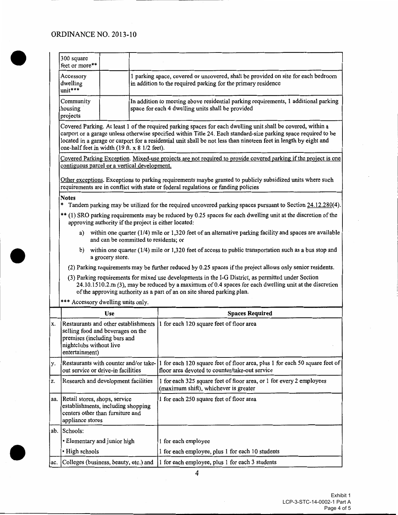|     | 300 square<br>feet or more**                                                                                                                                                                                                                                                                                                                                                                          |                                                                                                             |                                                                                                                                                    |  |  |
|-----|-------------------------------------------------------------------------------------------------------------------------------------------------------------------------------------------------------------------------------------------------------------------------------------------------------------------------------------------------------------------------------------------------------|-------------------------------------------------------------------------------------------------------------|----------------------------------------------------------------------------------------------------------------------------------------------------|--|--|
|     | Accessory<br>dwelling<br>unit***                                                                                                                                                                                                                                                                                                                                                                      |                                                                                                             | 1 parking space, covered or uncovered, shall be provided on site for each bedroom<br>in addition to the required parking for the primary residence |  |  |
|     | Community<br>housing<br>projects                                                                                                                                                                                                                                                                                                                                                                      |                                                                                                             | In addition to meeting above residential parking requirements, 1 additional parking<br>space for each 4 dwelling units shall be provided           |  |  |
|     | Covered Parking. At least 1 of the required parking spaces for each dwelling unit shall be covered, within a<br>carport or a garage unless otherwise specified within Title 24. Each standard-size parking space required to be<br>located in a garage or carport for a residential unit shall be not less than nineteen feet in length by eight and<br>one-half feet in width (19 ft. x 8 1/2 feet). |                                                                                                             |                                                                                                                                                    |  |  |
|     | Covered Parking Exception. Mixed-use projects are not required to provide covered parking if the project is one<br>contiguous parcel or a vertical development.                                                                                                                                                                                                                                       |                                                                                                             |                                                                                                                                                    |  |  |
|     | Other exceptions. Exceptions to parking requirements maybe granted to publicly subsidized units where such<br>requirements are in conflict with state or federal regulations or funding policies                                                                                                                                                                                                      |                                                                                                             |                                                                                                                                                    |  |  |
|     | <b>Notes</b><br>Tandem parking may be utilized for the required uncovered parking spaces pursuant to Section 24.12.280(4).                                                                                                                                                                                                                                                                            |                                                                                                             |                                                                                                                                                    |  |  |
|     | ** (1) SRO parking requirements may be reduced by 0.25 spaces for each dwelling unit at the discretion of the<br>approving authority if the project is either located:                                                                                                                                                                                                                                |                                                                                                             |                                                                                                                                                    |  |  |
|     | a) within one quarter (1/4) mile or 1,320 feet of an alternative parking facility and spaces are available<br>and can be committed to residents; or                                                                                                                                                                                                                                                   |                                                                                                             |                                                                                                                                                    |  |  |
|     | b) within one quarter $(1/4)$ mile or 1,320 feet of access to public transportation such as a bus stop and<br>a grocery store.                                                                                                                                                                                                                                                                        |                                                                                                             |                                                                                                                                                    |  |  |
|     |                                                                                                                                                                                                                                                                                                                                                                                                       | (2) Parking requirements may be further reduced by 0.25 spaces if the project allows only senior residents. |                                                                                                                                                    |  |  |
|     | (3) Parking requirements for mixed use developments in the I-G District, as permitted under Section<br>24.10.1510.2.m (3), may be reduced by a maximum of 0.4 spaces for each dwelling unit at the discretion<br>of the approving authority as a part of an on site shared parking plan.                                                                                                              |                                                                                                             |                                                                                                                                                    |  |  |
|     | *** Accessory dwelling units only.                                                                                                                                                                                                                                                                                                                                                                    |                                                                                                             |                                                                                                                                                    |  |  |
|     | Use                                                                                                                                                                                                                                                                                                                                                                                                   |                                                                                                             | <b>Spaces Required</b>                                                                                                                             |  |  |
| x.  | Restaurants and other establishments<br>selling food and beverages on the<br>premises (including bars and<br>nightclubs without live<br>entertainment)                                                                                                                                                                                                                                                |                                                                                                             | 1 for each 120 square feet of floor area                                                                                                           |  |  |
| y.  | Restaurants with counter and/or take-<br>out service or drive-in facilities                                                                                                                                                                                                                                                                                                                           |                                                                                                             | 1 for each 120 square feet of floor area, plus 1 for each 50 square feet of<br>floor area devoted to counter/take-out service                      |  |  |
| Z.  | Research and development facilities                                                                                                                                                                                                                                                                                                                                                                   |                                                                                                             | 1 for each 325 square feet of floor area, or 1 for every 2 employees<br>(maximum shift), whichever is greater                                      |  |  |
| aa. | Retail stores, shops, service<br>establishments, including shopping<br>centers other than furniture and<br>appliance stores                                                                                                                                                                                                                                                                           |                                                                                                             | 1 for each 250 square feet of floor area                                                                                                           |  |  |
| ab. | Schools:                                                                                                                                                                                                                                                                                                                                                                                              |                                                                                                             |                                                                                                                                                    |  |  |
|     | • Elementary and junior high                                                                                                                                                                                                                                                                                                                                                                          |                                                                                                             | 1 for each employee                                                                                                                                |  |  |
|     | · High schools                                                                                                                                                                                                                                                                                                                                                                                        |                                                                                                             | 1 for each employee, plus 1 for each 10 students                                                                                                   |  |  |
| ac. | Colleges (business, beauty, etc.) and                                                                                                                                                                                                                                                                                                                                                                 |                                                                                                             | 1 for each employee, plus 1 for each 3 students                                                                                                    |  |  |